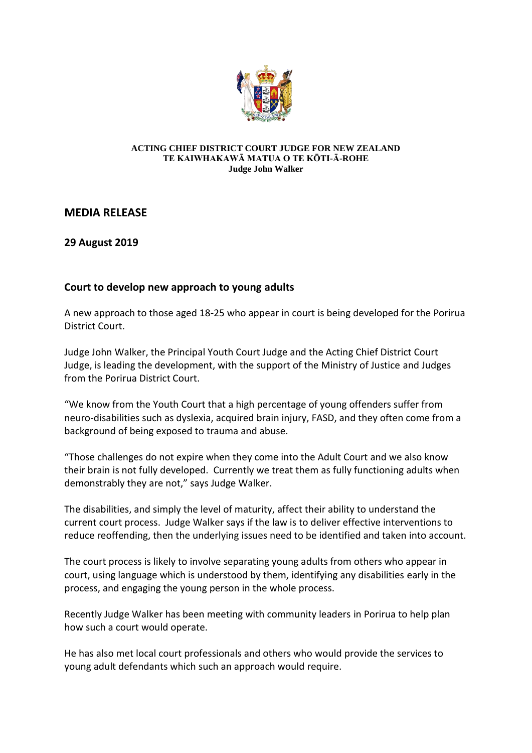

## **ACTING CHIEF DISTRICT COURT JUDGE FOR NEW ZEALAND TE KAIWHAKAWĀ MATUA O TE KŌTI-Ā-ROHE Judge John Walker**

## **MEDIA RELEASE**

**29 August 2019**

## **Court to develop new approach to young adults**

A new approach to those aged 18-25 who appear in court is being developed for the Porirua District Court.

Judge John Walker, the Principal Youth Court Judge and the Acting Chief District Court Judge, is leading the development, with the support of the Ministry of Justice and Judges from the Porirua District Court.

"We know from the Youth Court that a high percentage of young offenders suffer from neuro-disabilities such as dyslexia, acquired brain injury, FASD, and they often come from a background of being exposed to trauma and abuse.

"Those challenges do not expire when they come into the Adult Court and we also know their brain is not fully developed. Currently we treat them as fully functioning adults when demonstrably they are not," says Judge Walker.

The disabilities, and simply the level of maturity, affect their ability to understand the current court process. Judge Walker says if the law is to deliver effective interventions to reduce reoffending, then the underlying issues need to be identified and taken into account.

The court process is likely to involve separating young adults from others who appear in court, using language which is understood by them, identifying any disabilities early in the process, and engaging the young person in the whole process.

Recently Judge Walker has been meeting with community leaders in Porirua to help plan how such a court would operate.

He has also met local court professionals and others who would provide the services to young adult defendants which such an approach would require.